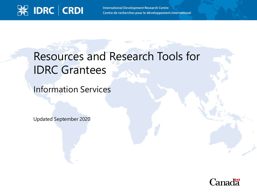

**International Development Research Centre** Centre de recherches pour le développement international

# Resources and Research Tools for IDRC Grantees

Information Services

Updated September 2020

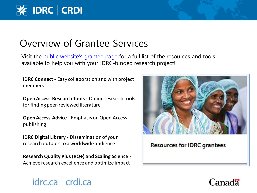## Overview of Grantee Services

Visit the *[public website's grantee page](https://www.idrc.ca/en/funding/resources-idrc-grantees)* for a full list of the resources and tools available to help you with your IDRC-funded research project!

**IDRC Connect -** Easy collaboration and with project members

**Open Access Research Tools -** Online research tools for finding peer-reviewed literature

**Open Access Advice -** Emphasis on Open Access publishing

**IDRC Digital Library -** Dissemination of your research outputs to a worldwide audience!

idrc.ca crdi.ca

**Research Quality Plus (RQ+) and Scaling Science -** Achieve research excellence and optimize impact



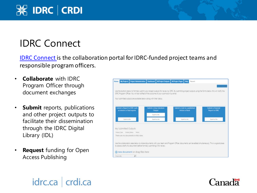# **X IDRC CRDI**

# IDRC Connect

[IDRC Connect](http://connect.idrc.ca/SitePages/Home.aspx) is the collaboration portal for IDRC-funded project teams and responsible program officers.

- **Collaborate** with IDRC Program Officer through document exchanges
- **Submit** reports, publications and other project outputs to facilitate their dissemination through the IDRC Digital Library (IDL)
- **Request** funding for Open Access Publishing



#### idrc.ca crdi.ca

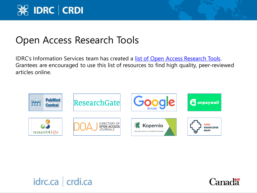

#### Open Access Research Tools

IDRC's Information Services team has created a [list of Open Access Research Tools.](https://www.idrc.ca/sites/default/files/updated_-_scholarly_resources_for_researchers_en.pdf) Grantees are encouraged to use this list of resources to find high quality, peer-reviewed articles online.





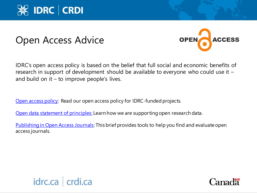

#### Open Access Advice



IDRC's open access policy is based on the belief that full social and economic benefits of research in support of development should be available to everyone who could use it – and build on it  $-$  to improve people's lives.

[Open access policy:](https://www.idrc.ca/en/open-access-policy-idrc-funded-project-outputs) Read our open access policy for IDRC-funded projects.

[Open data statement of principles:](https://www.idrc.ca/en/open-data-statement-principles) Learn how we are supporting open research data.

[Publishing in Open Access Journals:](https://www.idrc.ca/sites/default/files/sp/Guides%20and%20Forms/publishing_in_open_access_journals_en.pdf) This brief provides tools to help you find and evaluate open access journals.



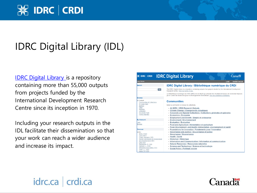# **X IDRC CRDI**

## IDRC Digital Library (IDL)

**IDRC Digital Library** is a repository containing more than 55,000 outputs from projects funded by the International Development Research Centre since its inception in 1970.

Including your research outputs in the IDL facilitate their dissemination so that your work can reach a wider audience and increase its impact.

| <b>※ IDRC   CRDI</b>                                                                                                                                                                                                                     | <b>IDRC Digital Library</b><br>Canadä <sup>®</sup>                                                                                                                                                                                                                                                                                                  |
|------------------------------------------------------------------------------------------------------------------------------------------------------------------------------------------------------------------------------------------|-----------------------------------------------------------------------------------------------------------------------------------------------------------------------------------------------------------------------------------------------------------------------------------------------------------------------------------------------------|
| <b>Irary Home</b>                                                                                                                                                                                                                        | Login<br><b>English francais</b>                                                                                                                                                                                                                                                                                                                    |
| <b>Search</b>                                                                                                                                                                                                                            | <b>IDRC Digital Library / Bibliothèque numérique du CRDI</b>                                                                                                                                                                                                                                                                                        |
| Go                                                                                                                                                                                                                                       | The IDRC Digital Library is a repository containing outputs from projects funded by the International Development<br>Research Centre. View our terms of use.                                                                                                                                                                                        |
|                                                                                                                                                                                                                                          | La Bibliothèque numérique du CRDI (BNC) est un dépôt qui présente les résultats de travaux de recherche financés<br>par le Centre de recherches pour le développement international. Voir nos conditions d'utilisation.                                                                                                                             |
| Browse                                                                                                                                                                                                                                   |                                                                                                                                                                                                                                                                                                                                                     |
| <b>All Content</b><br><b>Communities &amp; Collections</b><br><b>By Issue Date</b>                                                                                                                                                       | <b>Communities</b>                                                                                                                                                                                                                                                                                                                                  |
| <b>Authors</b><br><b>Titles</b><br><b>Subjects</b><br>Language<br><b>Document Type</b><br><b>Project Number</b>                                                                                                                          | Select a community to browse its collections.<br>- All IDRC / CRDI Research Outputs<br>• Climate Change / Changements climatiques<br>• Corporate and Special Collections / Collections générales et spéciales<br>• Economics / Économie                                                                                                             |
| <b>My Account</b>                                                                                                                                                                                                                        | <b>Employment and Growth / Emploi et croissance</b><br>٠<br><b>Environment / Environnement</b>                                                                                                                                                                                                                                                      |
| ogin                                                                                                                                                                                                                                     | - Evaluation / Évaluation                                                                                                                                                                                                                                                                                                                           |
| Register                                                                                                                                                                                                                                 | • Food and Agriculture / Alimentation et agriculture                                                                                                                                                                                                                                                                                                |
|                                                                                                                                                                                                                                          | Food, Environment, and Health / Alimentation, environnement et santé<br>٠                                                                                                                                                                                                                                                                           |
| Discover                                                                                                                                                                                                                                 | • Foundations for Innovation / Fondements pour l'innovation                                                                                                                                                                                                                                                                                         |
| Author<br><b>IDRC</b> (1143)<br>CRDI (467)<br>O'Neil, Maureen (195)<br>World Commission on Environment<br>and Development (191)<br>CIID (161)<br>Flemington, P. (132)<br>Rampen, L. (132)<br>Métavidea Associates (131)<br>Head II (129) | Governance and Justice / Gouvernance et justice<br>٠<br>Governance / Gouvernance<br><b>Health / Santé</b><br>• Historical / Historique<br>• Information and Communication / Information et communication<br>• Natural Resources / Ressources naturelles<br>· Science and Technology / Science et technologie<br>- Social Policy / Politique sociale |

#### idrc.ca crdi.ca

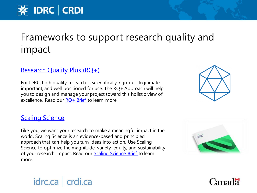# Frameworks to support research quality and impact

#### [Research Quality Plus \(RQ+\)](https://www.idrc.ca/rqplus)

idrc.ca crdi.ca

For IDRC, high quality research is scientifically rigorous, legitimate, important, and well positioned for use. The RQ+ Approach will help you to design and manage your project toward this holistic view of excellence. Read our  $RQ+$  Brief to learn more.

#### **[Scaling Science](https://www.idrc.ca/scalingscience)**

Like you, we want your research to make a meaningful impact in the world. Scaling Science is an evidence-based and principled approach that can help you turn ideas into action. Use Scaling Science to optimize the magnitude, variety, equity, and sustainability of your research impact. Read our **Scaling Science Brief** to learn more.